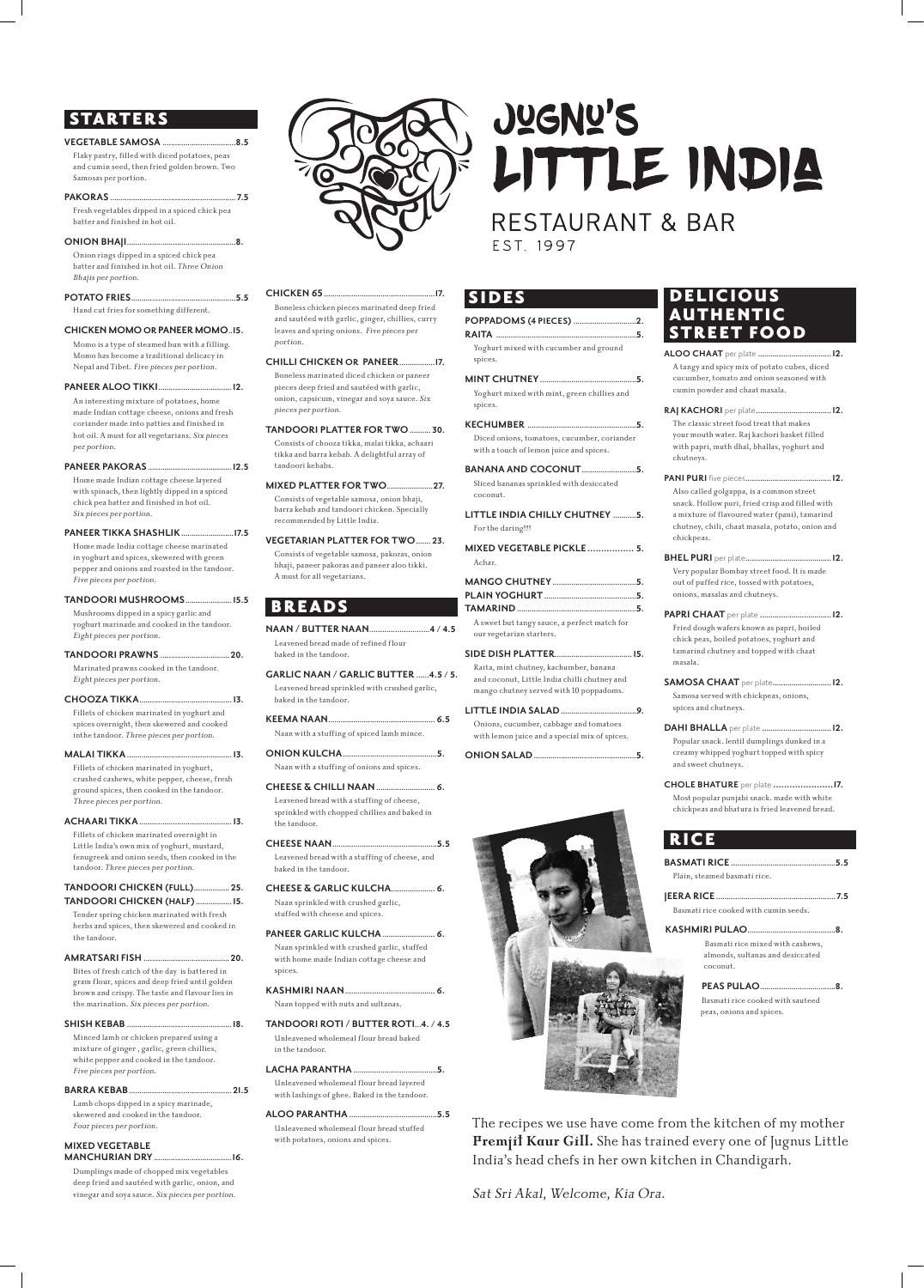# **STARTERS**

#### **VEGETABLE SAMOSA ...................................8.5**

Flaky pastry, filled with diced potatoes, peas and cumin seed, then fried golden brown. Two Samosas per portion.

#### **PAKORAS ............................................................ 7.5**

Fresh vegetables dipped in a spiced chick pea batter and finished in hot oil.

**ONION BHAJI....................................................8.** Onion rings dipped in a spiced chick pea batter and finished in hot oil. Three Onion Bhajis per portion.

**POTATO FRIES..................................................5.5** Hand cut fries for something different.

#### **CHICKEN MOMO OR PANEER MOMO..15.**

Momo is a type of steamed bun with a filling. Momo has become a traditional delicacy in Nepal and Tibet. Five pieces per portion.

#### **PANEER ALOO TIKKI...................................12.**

An interesting mixture of potatoes, home made Indian cottage cheese, onions and fresh coriander made into patties and finished in hot oil. A must for all vegetarians. Six pieces per portion.

#### **PANEER PAKORAS........................................12.5**

Home made Indian cottage cheese layered with spinach, then lightly dipped in a spiced chick pea batter and finished in hot oil. Six pieces per portion.

#### **PANEER TIKKA SHASHLIK.........................17.5** Home made India cottage cheese marinated

in yoghurt and spices, skewered with green pepper and onions and roasted in the tandoor. Five pieces per portion.

**TANDOORI MUSHROOMS...................... 15.5**

Mushrooms dipped in a spicy garlic and yoghurt marinade and cooked in the tandoor. Eight pieces per portion.

#### **TANDOORI PRAWNS ................................. 20.**

Marinated prawns cooked in the tandoor. Eight pieces per portion.

#### **CHOOZA TIKKA............................................ 13.**

Fillets of chicken marinated in yoghurt and spices overnight, then skewered and cooked inthe tandoor. Three pieces per portion.

#### **MALAI TIKKA.................................................. 13.** Fillets of chicken marinated in yoghurt,

crushed cashews, white pepper, cheese, fresh ground spices, then cooked in the tandoor. Three pieces per portion.

#### **ACHAARI TIKKA............................................ 13.**

Fillets of chicken marinated overnight in Little India's own mix of yoghurt, mustard, fenugreek and onion seeds, then cooked in the tandoor. Three pieces per portion.

#### **TANDOORI CHICKEN (FULL)................. 25. TANDOORI CHICKEN (HALF)................. 15.**

Tender spring chicken marinated with fresh herbs and spices, then skewered and cooked in the tandoor.



#### **AMRATSARI FISH ......................................... 20.**

Bites of fresh catch of the day is battered in gram flour, spices and deep fried until golden brown and crispy. The taste and flavour lies in the marination. Six pieces per portion.

#### **SHISH KEBAB ..................................................18.**

Minced lamb or chicken prepared using a mixture of ginger , garlic, green chillies, white pepper and cooked in the tandoor. Five pieces per portion.

#### **BARRA KEBAB................................................. 21.5**

Lamb chops dipped in a spicy marinade, skewered and cooked in the tandoor. Four pieces per portion.

#### **MIXED VEGETABLE MANCHURIAN DRY .....................................16.**

Dumplings made of chopped mix vegetables deep fried and sautéed with garlic, onion, and vinegar and soya sauce. Six pieces per portion.

#### **CHICKEN 65.....................................................17.**

Boneless chicken pieces marinated deep fried and sautéed with garlic, ginger, chillies, curry leaves and spring onions. Five pieces per portion.

# **DELICIOUS**  AUTHENTIC STREET FOOD

#### **CHILLI CHICKEN OR PANEER.................17.**

Boneless marinated diced chicken or paneer pieces deep fried and sautéed with garlic, onion, capsicum, vinegar and soya sauce. Six pieces per portion.

**TANDOORI PLATTER FOR TWO.......... 30.** Consists of chooza tikka, malai tikka, achaari tikka and barra kebab. A delightful array of tandoori kebabs.

**MIXED PLATTER FOR TWO......................27.** Consists of vegetable samosa, onion bhaji, barra kebab and tandoori chicken. Specially recommended by Little India.

#### **VEGETARIAN PLATTER FOR TWO....... 23.** Consists of vegetable samosa, pakoras, onion bhaji, paneer pakoras and paneer aloo tikki.

A must for all vegetarians.

BREADS

- **NAAN / BUTTER NAAN............................4 / 4.5** Leavened bread made of refined flour
- baked in the tandoor. **GARLIC NAAN / GARLIC BUTTER ......4.5 / 5.**
- Leavened bread sprinkled with crushed garlic, baked in the tandoor.

**KEEMA NAAN................................................... 6.5** Naan with a stuffing of spiced lamb mince.

#### **ONION KULCHA.............................................5.** Naan with a stuffing of onions and spices.

**CHEESE & CHILLI NAAN............................ 6.** Leavened bread with a stuffing of cheese, sprinkled with chopped chillies and baked in the tandoor.

**CHEESE NAAN..................................................5.5** Leavened bread with a stuffing of cheese, and baked in the tandoor.

**CHEESE & GARLIC KULCHA..................... 6.** Naan sprinkled with crushed garlic, stuffed with cheese and spices.

#### **PANEER GARLIC KULCHA......................... 6.**

# **JUGNU'S** LITTLE INDIA

# **RESTAURANT & BAR** EST. 1997

Naan sprinkled with crushed garlic, stuffed with home made Indian cottage cheese and spices.

# **KASHMIRI NAAN........................................... 6.**

Naan topped with nuts and sultanas.

#### **TANDOORI ROTI / BUTTER ROTI...4. / 4.5**

Unleavened wholemeal flour bread baked in the tandoor.

# **LACHA PARANTHA........................................5.**

Unleavened wholemeal flour bread layered with lashings of ghee. Baked in the tandoor.

#### **ALOO PARANTHA ..........................................5.5**

Unleavened wholemeal flour bread stuffed with potatoes, onions and spices.

## SIDES

#### **POPPADOMS (4 PIECES)..............................2. RAITA ...................................................................5.**

Yoghurt mixed with cucumber and ground spices. **MINT CHUTNEY..............................................5.**

#### Yoghurt mixed with mint, green chillies and spices.

**KECHUMBER ....................................................5.** Diced onions, tomatoes, cucumber, coriander with a touch of lemon juice and spices.

#### **BANANA AND COCONUT...**

Sliced bananas sprinkled with desiccated coconut.

**LITTLE INDIA CHILLY CHUTNEY ...........5.** For the daring!!!

**MIXED VEGETABLE PICKLE................. 5.** Achar.

**MANGO CHUTNEY........................................5.**

**PLAIN YOGHURT............................................5. TAMARIND.........................................................5.** A sweet but tangy sauce, a perfect match for

our vegetarian starters.

#### **SIDE DISH PLATTER.....................................15.**

Raita, mint chutney, kachumber, banana and coconut, Little India chilli chutney and mango chutney served with 10 poppadoms.

**LITTLE INDIA SALAD....................................9.** Onions, cucumber, cabbage and tomatoes with lemon juice and a special mix of spices.





**ALOO CHAAT** per plate **...................................12.** A tangy and spicy mix of potato cubes, diced cucumber, tomato and onion seasoned with cumin powder and chaat masala.

- **RAJ KACHORI** per plate**....................................12.**  The classic street food treat that makes your mouth water. Raj kachori basket filled
- with papri, muth dhal, bhallas, yoghurt and chutneys.
- **PANI PURI** five pieces**.........................................12.**

Also called golgappa, is a common street snack. Hollow puri, fried crisp and filled with a mixture of flavoured water (pani), tamarind chutney, chili, chaat masala, potato, onion and chickpeas.

### **BHEL PURI** per plate**.........................................12.**

Very popular Bombay street food. It is made out of puffed rice, tossed with potatoes, onions, masalas and chutneys.

- **PAPRI CHAAT** per plate **..................................12.**
- Fried dough wafers known as papri, boiled chick peas, boiled potatoes, yoghurt and tamarind chutney and topped with chaat masala.
- **SAMOSA CHAAT** per plate**............................12.**  Samosa served with chickpeas, onions, spices and chutneys.
- **DAHI BHALLA** per plate **.................................12.**  Popular snack. lentil dumplings dunked in a creamy whipped yoghurt topped with spicy
- **CHOLE BHATURE** per plate **......................17.** 
	- Most popular punjabi snack. made with white chickpeas and bhatura is fried leavened bread.

and sweet chutneys.

# RICE

| Plain, steamed basmati rice.          |  |
|---------------------------------------|--|
|                                       |  |
| Basmati rice cooked with cumin seeds. |  |
|                                       |  |

Basmati rice mixed with cashews, almonds, sultanas and desiccated coconut.

#### **PEAS PULAO......**

Basmati rice cooked with sauteed peas, onions and spices.

The recipes we use have come from the kitchen of my mother **Premjit Kaur Gill.** She has trained every one of Jugnus Little India's head chefs in her own kitchen in Chandigarh.

Sat Sri Akal, Welcome, Kia Ora.